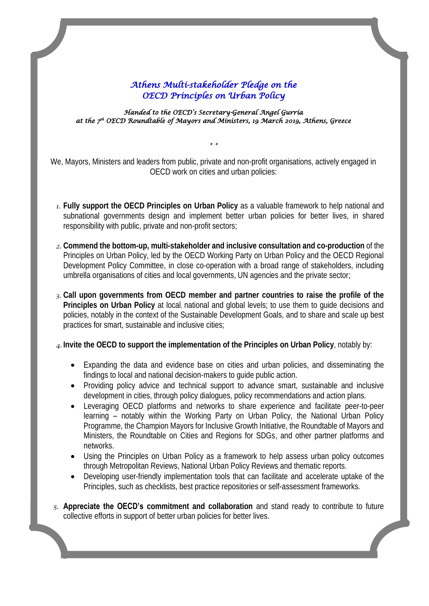## *Athens Multi-stakeholder Pledge on the OECD Principles on Urban Policy*

*Handed to the OECD's Secretary-General Angel Gurría at the 7th OECD Roundtable of Mayors and Ministers, 19 March 2019, Athens, Greece* 

We, Mayors, Ministers and leaders from public, private and non-profit organisations, actively engaged in OECD work on cities and urban policies:

*\* \**

- *1.* **Fully support the OECD Principles on Urban Policy** as a valuable framework to help national and subnational governments design and implement better urban policies for better lives, in shared responsibility with public, private and non-profit sectors;
- *2.* **Commend the bottom-up, multi-stakeholder and inclusive consultation and co-production** of the Principles on Urban Policy, led by the OECD Working Party on Urban Policy and the OECD Regional Development Policy Committee, in close co-operation with a broad range of stakeholders, including umbrella organisations of cities and local governments, UN agencies and the private sector;
- *3.* **Call upon governments from OECD member and partner countries to raise the profile of the Principles on Urban Policy** at local, national and global levels; to use them to guide decisions and policies, notably in the context of the Sustainable Development Goals, and to share and scale up best practices for smart, sustainable and inclusive cities;

*4.* **Invite the OECD to support the implementation of the Principles on Urban Policy**, notably by:

- Expanding the data and evidence base on cities and urban policies, and disseminating the findings to local and national decision-makers to guide public action.
- Providing policy advice and technical support to advance smart, sustainable and inclusive development in cities, through policy dialogues, policy recommendations and action plans.
- Leveraging OECD platforms and networks to share experience and facilitate peer-to-peer learning – notably within the Working Party on Urban Policy, the National Urban Policy Programme, the Champion Mayors for Inclusive Growth Initiative, the Roundtable of Mayors and Ministers, the Roundtable on Cities and Regions for SDGs, and other partner platforms and networks.
- Using the Principles on Urban Policy as a framework to help assess urban policy outcomes through Metropolitan Reviews, National Urban Policy Reviews and thematic reports.
- Developing user-friendly implementation tools that can facilitate and accelerate uptake of the Principles, such as checklists, best practice repositories or self-assessment frameworks.
- 1 *5.* **Appreciate the OECD's commitment and collaboration** and stand ready to contribute to future collective efforts in support of better urban policies for better lives.